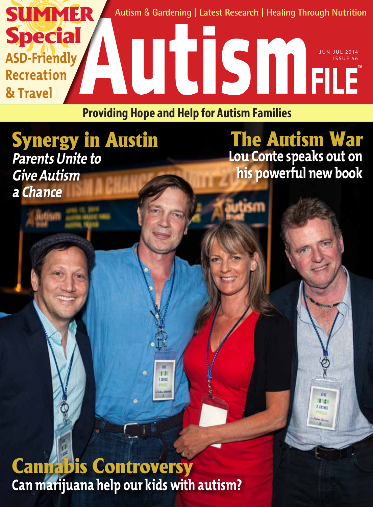

**Providing Hope and Help for Autism Families**

## Synergy in Austin **Parents Unite to Give Autism a Chance**

The Autism War **Lou Conte speaks out on his powerful new book** 

> $0.5$ **LEETING**

Cannabis Controversy **Can marijuana help our kids with autism?**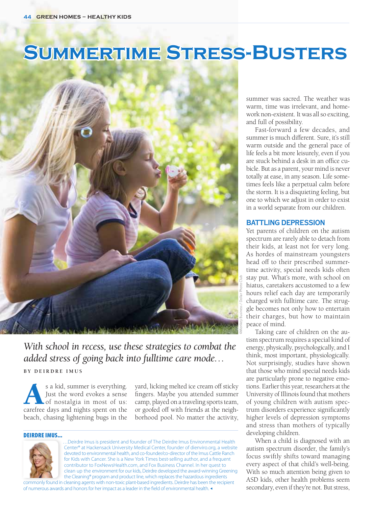# **Summertime Stress-Busters**



### *With school in recess, use these strategies to combat the added stress of going back into fulltime care mode…*

**B y D eirdre I m u s**

s a kid, summer is everything.<br>Just the word evokes a sense<br>of nostalgia in most of us:<br>carefree days and nights spent on the Just the word evokes a sense of nostalgia in most of us: beach, chasing lightening bugs in the

yard, licking melted ice cream off sticky fingers. Maybe you attended summer camp, played on a traveling sports team, or goofed off with friends at the neighborhood pool. No matter the activity,

#### Deirdre Imus...



…Deirdre Imus is president and founder of The Deirdre Imus Environmental Health Center® at Hackensack University Medical Center, founder of dienviro.org, a website devoted to environmental health, and co-founder/co-director of the Imus Cattle Ranch for Kids with Cancer. She is a New York Times best-selling author, and a frequent contributor to FoxNewsHealth.com, and Fox Business Channel. In her quest to clean up the environment for our kids, Deirdre developed the award-winning Greening the Cleaning® program and product line, which replaces the hazardous ingredients commonly found in cleaning agents with non-toxic plant-based ingredients. Deirdre has been the recipient

of numerous awards and honors for her impact as a leader in the field of environmental health.

summer was sacred. The weather was warm, time was irrelevant, and homework non-existent. It was all so exciting, and full of possibility.

Fast-forward a few decades, and summer is much different. Sure, it's still warm outside and the general pace of life feels a bit more leisurely, even if you are stuck behind a desk in an office cubicle. But as a parent, your mind is never totally at ease, in any season. Life sometimes feels like a perpetual calm before the storm. It is a disquieting feeling, but one to which we adjust in order to exist in a world separate from our children.

#### **Battling depression**

Yet parents of children on the autism spectrum are rarely able to detach from their kids, at least not for very long. As hordes of mainstream youngsters head off to their prescribed summertime activity, special needs kids often stay put. What's more, with school on hiatus, caretakers accustomed to a few hours relief each day are temporarily charged with fulltime care. The struggle becomes not only how to entertain their charges, but how to maintain peace of mind.

Taking care of children on the autism spectrum requires a special kind of energy, physically, psychologically, and I think, most important, physiologically. Not surprisingly, studies have shown that those who mind special needs kids are particularly prone to negative emotions. Earlier this year, researchers at the University of Illinois found that mothers of young children with autism spectrum disorders experience significantly higher levels of depression symptoms and stress than mothers of typically developing children.

When a child is diagnosed with an autism spectrum disorder, the family's focus swiftly shifts toward managing every aspect of that child's well-being. With so much attention being given to ASD kids, other health problems seem secondary, even if they're not. But stress,